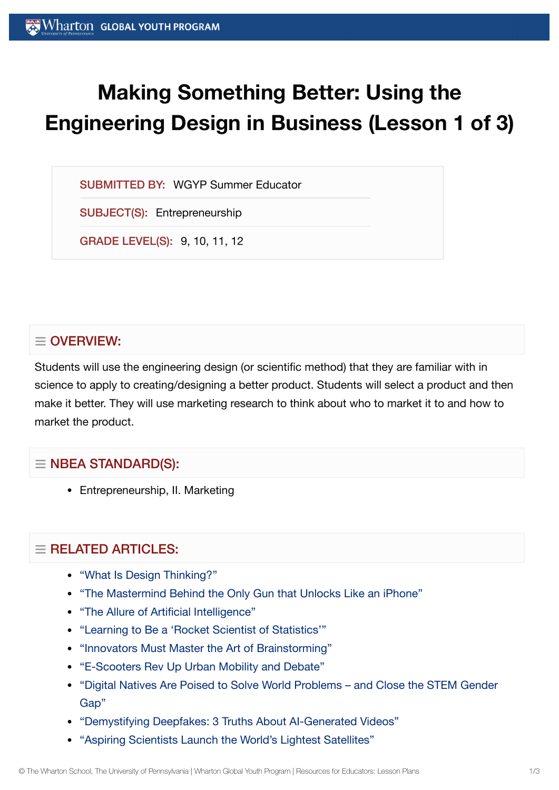# **Making Something Better: Using the Engineering Design in Business (Lesson 1 of 3)**

SUBMITTED BY: WGYP Summer Educator

SUBJECT(S): Entrepreneurship

GRADE LEVEL(S): 9, 10, 11, 12

# $\equiv$  OVERVIEW:

Students will use the engineering design (or scientific method) that they are familiar with in science to apply to creating/designing a better product. Students will select a product and then make it better. They will use marketing research to think about who to market it to and how to market the product.

# $\equiv$  NBEA STANDARD(S):

Entrepreneurship, II. Marketing

# $\equiv$  RELATED ARTICLES:

- "What Is Design [Thinking?"](https://globalyouth.wharton.upenn.edu/articles/what-is-design-thinking/)
- "The Mastermind Behind the Only Gun that [Unlocks Like](https://globalyouth.wharton.upenn.edu/articles/mastermind-behind-only-gun-unlocks-like-iphone/) an iPhone"
- "The Allure of Artificial [Intelligence"](https://globalyouth.wharton.upenn.edu/articles/allure-artificial-intelligence/)
- "Learning to Be a 'Rocket Scientist of [Statistics'"](https://globalyouth.wharton.upenn.edu/articles/vectors-computer-code-valuable-experience-rocket-scientist-statistics/)
- ["Innovators Must](https://globalyouth.wharton.upenn.edu/articles/innovators-must-master-the-art-of-brainstorming/) Master the Art of Brainstorming"
- ["E-Scooters Rev Up](https://globalyouth.wharton.upenn.edu/articles/e-scooters-rev-urban-mobility-debate/) Urban Mobility and Debate"
- "Digital Natives Are Poised to Solve World [Problems and](https://globalyouth.wharton.upenn.edu/articles/digital-natives-solve-world-problems-close-stem-gender-gap/) Close the STEM Gender Gap"
- ["Demystifying](https://globalyouth.wharton.upenn.edu/articles/demystifying-deepfakes-3-truths-ai-generated-videos/) Deepfakes: 3 Truths About AI-Generated Videos"
- "Aspiring [Scientists Launch](https://globalyouth.wharton.upenn.edu/articles/young-scientists-worlds-lightest-satellite/) the World's Lightest Satellites"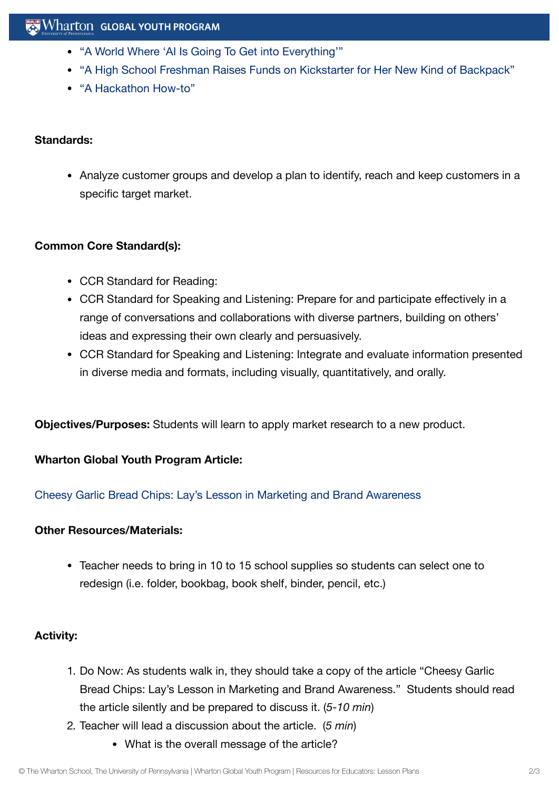- "A World Where 'AI Is Going To Get into [Everything'"](https://globalyouth.wharton.upenn.edu/articles/teen-app-developer-embraces-world-ai-going-get-everything/)
- "A High School Freshman [Raises Funds on](https://globalyouth.wharton.upenn.edu/articles/product-development-learning-navigate-kickstarter-campaign/) Kickstarter for Her New Kind of Backpack"
- "A [Hackathon](https://globalyouth.wharton.upenn.edu/articles/a-hackathon-how-to/) How-to"

#### **Standards:**

• Analyze customer groups and develop a plan to identify, reach and keep customers in a specific target market.

## **Common Core Standard(s):**

- CCR Standard for Reading:
- CCR Standard for Speaking and Listening: Prepare for and participate effectively in a range of conversations and collaborations with diverse partners, building on others' ideas and expressing their own clearly and persuasively.
- CCR Standard for Speaking and Listening: Integrate and evaluate information presented in diverse media and formats, including visually, quantitatively, and orally.

**Objectives/Purposes:** Students will learn to apply market research to a new product.

## **Wharton Global Youth Program Article:**

[Cheesy Garlic](https://globalyouth.wharton.upenn.edu/articles/lays-lesson-in-brand-awareness/) Bread Chips: Lay's Lesson in Marketing and Brand Awareness

#### **Other Resources/Materials:**

Teacher needs to bring in 10 to 15 school supplies so students can select one to redesign (i.e. folder, bookbag, book shelf, binder, pencil, etc.)

## **Activity:**

- 1. Do Now: As students walk in, they should take a copy of the article "Cheesy Garlic Bread Chips: Lay's Lesson in Marketing and Brand Awareness." Students should read the article silently and be prepared to discuss it. (*5-10 min*)
- 2. Teacher will lead a discussion about the article. (*5 min*)
	- What is the overall message of the article?